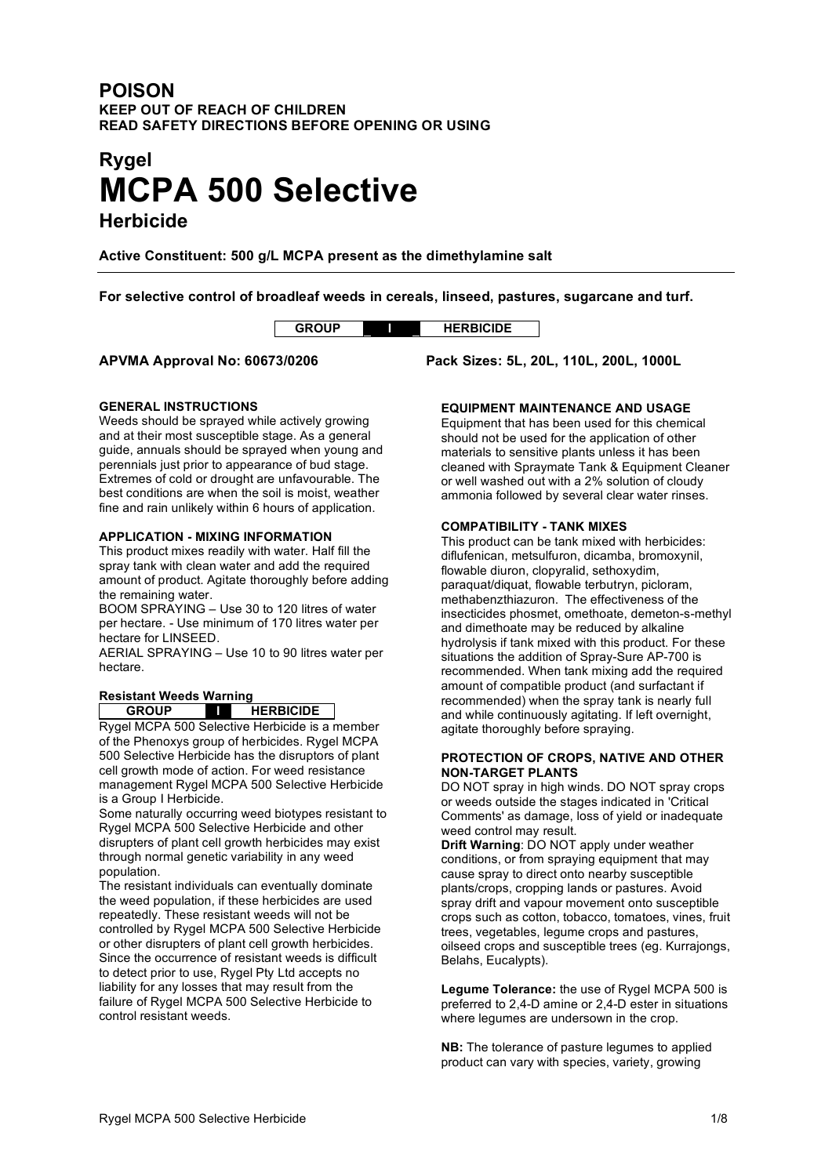# **POISON KEEP OUT OF REACH OF CHILDREN READ SAFETY DIRECTIONS BEFORE OPENING OR USING**

# **Rygel MCPA 500 Selective**

**Herbicide**

**Active Constituent: 500 g/L MCPA present as the dimethylamine salt**

**For selective control of broadleaf weeds in cereals, linseed, pastures, sugarcane and turf.**

|                  | BICIDE |
|------------------|--------|
| $\sim$<br>$\sim$ |        |

**APVMA Approval No: 60673/0206 Pack Sizes: 5L, 20L, 110L, 200L, 1000L**

## **GENERAL INSTRUCTIONS**

Weeds should be sprayed while actively growing and at their most susceptible stage. As a general guide, annuals should be sprayed when young and perennials just prior to appearance of bud stage. Extremes of cold or drought are unfavourable. The best conditions are when the soil is moist, weather fine and rain unlikely within 6 hours of application.

## **APPLICATION - MIXING INFORMATION**

This product mixes readily with water. Half fill the spray tank with clean water and add the required amount of product. Agitate thoroughly before adding the remaining water.

BOOM SPRAYING – Use 30 to 120 litres of water per hectare. - Use minimum of 170 litres water per hectare for LINSEED.

AERIAL SPRAYING – Use 10 to 90 litres water per hectare.

## **Resistant Weeds Warning**

**GROUP I HERBICIDE**

Rygel MCPA 500 Selective Herbicide is a member of the Phenoxys group of herbicides. Rygel MCPA 500 Selective Herbicide has the disruptors of plant cell growth mode of action. For weed resistance management Rygel MCPA 500 Selective Herbicide is a Group I Herbicide.

Some naturally occurring weed biotypes resistant to Rygel MCPA 500 Selective Herbicide and other disrupters of plant cell growth herbicides may exist through normal genetic variability in any weed population.

The resistant individuals can eventually dominate the weed population, if these herbicides are used repeatedly. These resistant weeds will not be controlled by Rygel MCPA 500 Selective Herbicide or other disrupters of plant cell growth herbicides. Since the occurrence of resistant weeds is difficult to detect prior to use, Rygel Pty Ltd accepts no liability for any losses that may result from the failure of Rygel MCPA 500 Selective Herbicide to control resistant weeds.

## **EQUIPMENT MAINTENANCE AND USAGE**

Equipment that has been used for this chemical should not be used for the application of other materials to sensitive plants unless it has been cleaned with Spraymate Tank & Equipment Cleaner or well washed out with a 2% solution of cloudy ammonia followed by several clear water rinses.

# **COMPATIBILITY - TANK MIXES**

This product can be tank mixed with herbicides: diflufenican, metsulfuron, dicamba, bromoxynil, flowable diuron, clopyralid, sethoxydim, paraquat/diquat, flowable terbutryn, picloram, methabenzthiazuron. The effectiveness of the insecticides phosmet, omethoate, demeton-s-methyl and dimethoate may be reduced by alkaline hydrolysis if tank mixed with this product. For these situations the addition of Spray-Sure AP-700 is recommended. When tank mixing add the required amount of compatible product (and surfactant if recommended) when the spray tank is nearly full and while continuously agitating. If left overnight, agitate thoroughly before spraying.

#### **PROTECTION OF CROPS, NATIVE AND OTHER NON-TARGET PLANTS**

DO NOT spray in high winds. DO NOT spray crops or weeds outside the stages indicated in 'Critical Comments' as damage, loss of yield or inadequate weed control may result.

**Drift Warning**: DO NOT apply under weather conditions, or from spraying equipment that may cause spray to direct onto nearby susceptible plants/crops, cropping lands or pastures. Avoid spray drift and vapour movement onto susceptible crops such as cotton, tobacco, tomatoes, vines, fruit trees, vegetables, legume crops and pastures, oilseed crops and susceptible trees (eg. Kurrajongs, Belahs, Eucalypts).

**Legume Tolerance:** the use of Rygel MCPA 500 is preferred to 2,4-D amine or 2,4-D ester in situations where legumes are undersown in the crop.

**NB:** The tolerance of pasture legumes to applied product can vary with species, variety, growing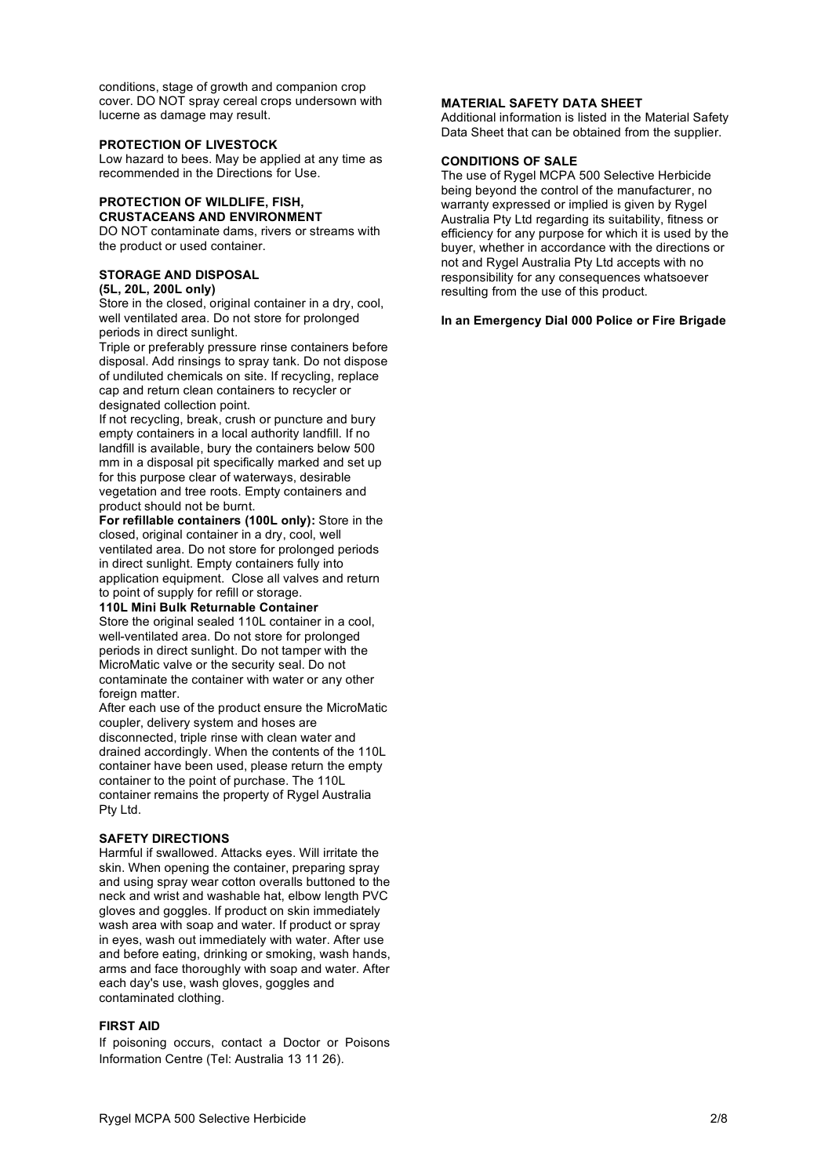conditions, stage of growth and companion crop cover. DO NOT spray cereal crops undersown with lucerne as damage may result.

#### **PROTECTION OF LIVESTOCK**

Low hazard to bees. May be applied at any time as recommended in the Directions for Use.

## **PROTECTION OF WILDLIFE, FISH, CRUSTACEANS AND ENVIRONMENT**

DO NOT contaminate dams, rivers or streams with the product or used container.

# **STORAGE AND DISPOSAL**

**(5L, 20L, 200L only)**

Store in the closed, original container in a dry, cool, well ventilated area. Do not store for prolonged periods in direct sunlight.

Triple or preferably pressure rinse containers before disposal. Add rinsings to spray tank. Do not dispose of undiluted chemicals on site. If recycling, replace cap and return clean containers to recycler or designated collection point.

If not recycling, break, crush or puncture and bury empty containers in a local authority landfill. If no landfill is available, bury the containers below 500 mm in a disposal pit specifically marked and set up for this purpose clear of waterways, desirable vegetation and tree roots. Empty containers and product should not be burnt.

**For refillable containers (100L only):** Store in the closed, original container in a dry, cool, well ventilated area. Do not store for prolonged periods in direct sunlight. Empty containers fully into application equipment. Close all valves and return to point of supply for refill or storage.

#### **110L Mini Bulk Returnable Container**

Store the original sealed 110L container in a cool, well-ventilated area. Do not store for prolonged periods in direct sunlight. Do not tamper with the MicroMatic valve or the security seal. Do not contaminate the container with water or any other foreign matter.

After each use of the product ensure the MicroMatic coupler, delivery system and hoses are disconnected, triple rinse with clean water and drained accordingly. When the contents of the 110L container have been used, please return the empty container to the point of purchase. The 110L container remains the property of Rygel Australia Pty Ltd.

## **SAFETY DIRECTIONS**

Harmful if swallowed. Attacks eyes. Will irritate the skin. When opening the container, preparing spray and using spray wear cotton overalls buttoned to the neck and wrist and washable hat, elbow length PVC gloves and goggles. If product on skin immediately wash area with soap and water. If product or spray in eyes, wash out immediately with water. After use and before eating, drinking or smoking, wash hands, arms and face thoroughly with soap and water. After each day's use, wash gloves, goggles and contaminated clothing.

#### **FIRST AID**

If poisoning occurs, contact a Doctor or Poisons Information Centre (Tel: Australia 13 11 26).

#### **MATERIAL SAFETY DATA SHEET**

Additional information is listed in the Material Safety Data Sheet that can be obtained from the supplier.

#### **CONDITIONS OF SALE**

The use of Rygel MCPA 500 Selective Herbicide being beyond the control of the manufacturer, no warranty expressed or implied is given by Rygel Australia Pty Ltd regarding its suitability, fitness or efficiency for any purpose for which it is used by the buyer, whether in accordance with the directions or not and Rygel Australia Pty Ltd accepts with no responsibility for any consequences whatsoever resulting from the use of this product.

#### **In an Emergency Dial 000 Police or Fire Brigade**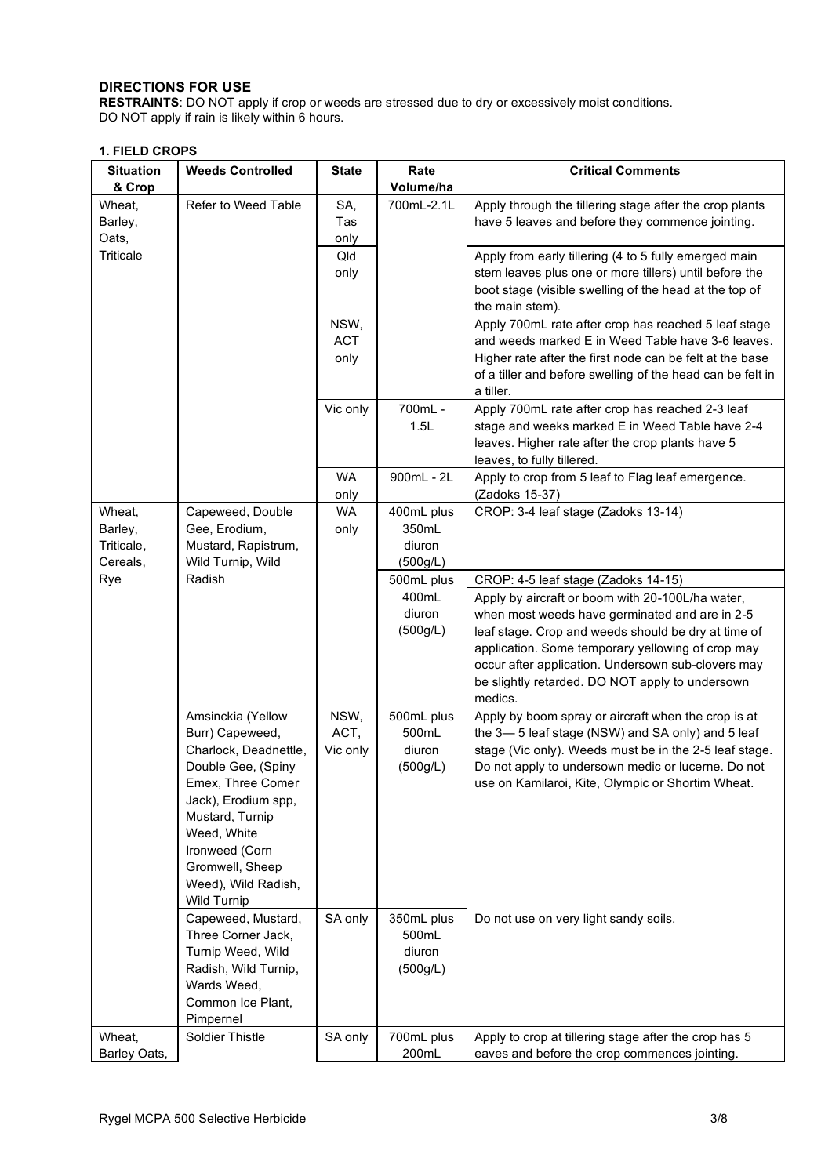# **DIRECTIONS FOR USE**

**RESTRAINTS**: DO NOT apply if crop or weeds are stressed due to dry or excessively moist conditions. DO NOT apply if rain is likely within 6 hours.

# **1. FIELD CROPS**

| <b>Situation</b><br>& Crop                  | <b>Weeds Controlled</b>                                                                                                                                                                                                                      | <b>State</b>               | Rate<br>Volume/ha                                       | <b>Critical Comments</b>                                                                                                                                                                                                                                                                                                                                                  |  |  |  |  |
|---------------------------------------------|----------------------------------------------------------------------------------------------------------------------------------------------------------------------------------------------------------------------------------------------|----------------------------|---------------------------------------------------------|---------------------------------------------------------------------------------------------------------------------------------------------------------------------------------------------------------------------------------------------------------------------------------------------------------------------------------------------------------------------------|--|--|--|--|
| Wheat,<br>Barley,<br>Oats,                  | Refer to Weed Table                                                                                                                                                                                                                          | SA,<br>Tas<br>only         | 700mL-2.1L                                              | Apply through the tillering stage after the crop plants<br>have 5 leaves and before they commence jointing.                                                                                                                                                                                                                                                               |  |  |  |  |
| <b>Triticale</b>                            |                                                                                                                                                                                                                                              | Qld<br>only                |                                                         | Apply from early tillering (4 to 5 fully emerged main<br>stem leaves plus one or more tillers) until before the<br>boot stage (visible swelling of the head at the top of<br>the main stem).                                                                                                                                                                              |  |  |  |  |
|                                             |                                                                                                                                                                                                                                              | NSW,<br><b>ACT</b><br>only |                                                         | Apply 700mL rate after crop has reached 5 leaf stage<br>and weeds marked E in Weed Table have 3-6 leaves.<br>Higher rate after the first node can be felt at the base<br>of a tiller and before swelling of the head can be felt in<br>a tiller.                                                                                                                          |  |  |  |  |
|                                             |                                                                                                                                                                                                                                              | Vic only                   | 700mL -<br>1.5L                                         | Apply 700mL rate after crop has reached 2-3 leaf<br>stage and weeks marked E in Weed Table have 2-4<br>leaves. Higher rate after the crop plants have 5<br>leaves, to fully tillered.                                                                                                                                                                                     |  |  |  |  |
|                                             |                                                                                                                                                                                                                                              | WA<br>only                 | 900mL - 2L                                              | Apply to crop from 5 leaf to Flag leaf emergence.<br>(Zadoks 15-37)                                                                                                                                                                                                                                                                                                       |  |  |  |  |
| Wheat,<br>Barley,<br>Triticale,<br>Cereals, | Capeweed, Double<br>Gee, Erodium,<br>Mustard, Rapistrum,<br>Wild Turnip, Wild                                                                                                                                                                | WA<br>only                 | 400mL plus<br>350mL<br>diuron<br>(500g/L)<br>500mL plus | CROP: 3-4 leaf stage (Zadoks 13-14)                                                                                                                                                                                                                                                                                                                                       |  |  |  |  |
| Rye                                         | Radish                                                                                                                                                                                                                                       |                            | 400mL<br>diuron<br>(500g/L)                             | CROP: 4-5 leaf stage (Zadoks 14-15)<br>Apply by aircraft or boom with 20-100L/ha water,<br>when most weeds have germinated and are in 2-5<br>leaf stage. Crop and weeds should be dry at time of<br>application. Some temporary yellowing of crop may<br>occur after application. Undersown sub-clovers may<br>be slightly retarded. DO NOT apply to undersown<br>medics. |  |  |  |  |
|                                             | Amsinckia (Yellow<br>Burr) Capeweed,<br>Charlock, Deadnettle,<br>Double Gee, (Spiny<br>Emex, Three Comer<br>Jack), Erodium spp,<br>Mustard, Turnip<br>Weed, White<br>Ironweed (Corn<br>Gromwell, Sheep<br>Weed), Wild Radish,<br>Wild Turnip | NSW,<br>ACT,<br>Vic only   | 500mL plus<br>500mL<br>diuron<br>(500g/L)               | Apply by boom spray or aircraft when the crop is at<br>the 3-5 leaf stage (NSW) and SA only) and 5 leaf<br>stage (Vic only). Weeds must be in the 2-5 leaf stage.<br>Do not apply to undersown medic or lucerne. Do not<br>use on Kamilaroi, Kite, Olympic or Shortim Wheat.                                                                                              |  |  |  |  |
|                                             | Capeweed, Mustard,<br>Three Corner Jack,<br>Turnip Weed, Wild<br>Radish, Wild Turnip,<br>Wards Weed,<br>Common Ice Plant,<br>Pimpernel                                                                                                       | SA only                    | 350mL plus<br>500mL<br>diuron<br>(500g/L)               | Do not use on very light sandy soils.                                                                                                                                                                                                                                                                                                                                     |  |  |  |  |
| Wheat,<br>Barley Oats,                      | <b>Soldier Thistle</b>                                                                                                                                                                                                                       | SA only                    | 700mL plus<br>200mL                                     | Apply to crop at tillering stage after the crop has 5<br>eaves and before the crop commences jointing.                                                                                                                                                                                                                                                                    |  |  |  |  |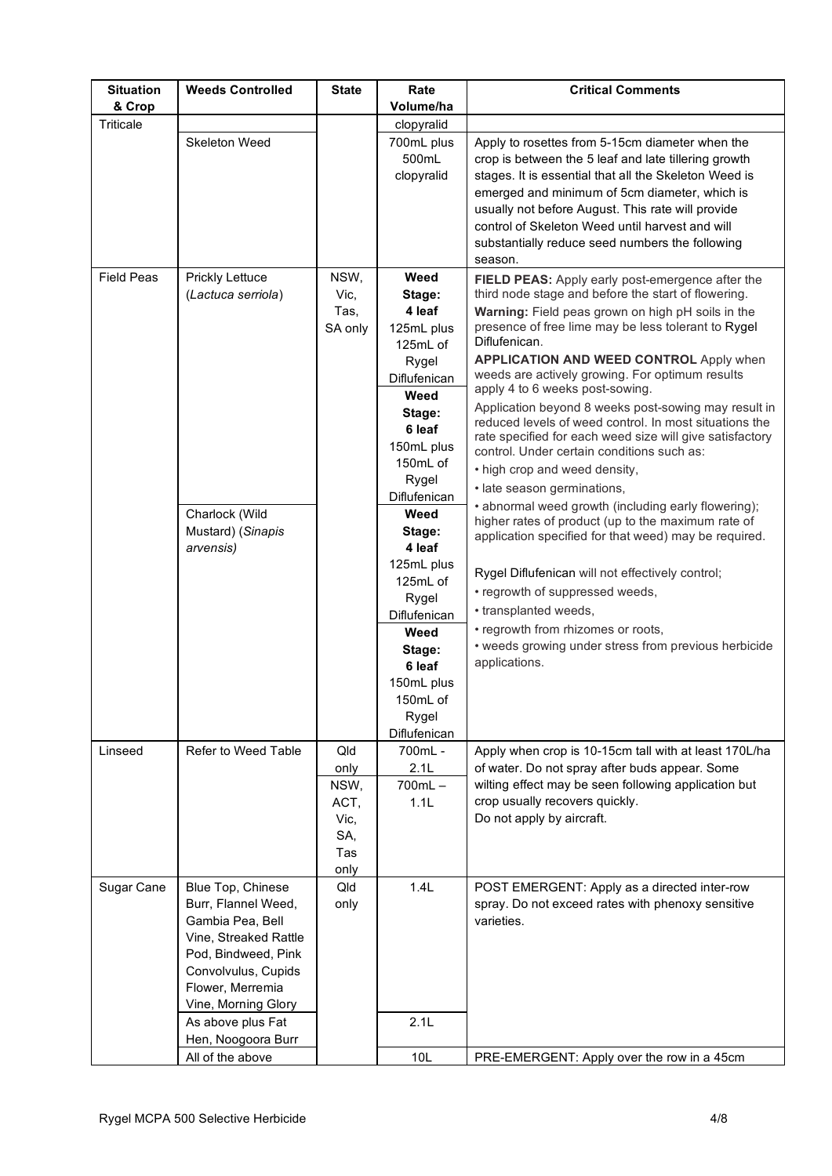| <b>Situation</b>  | <b>Weeds Controlled</b> | <b>State</b> | Rate                  | <b>Critical Comments</b>                                                                                           |
|-------------------|-------------------------|--------------|-----------------------|--------------------------------------------------------------------------------------------------------------------|
| & Crop            |                         |              | Volume/ha             |                                                                                                                    |
| Triticale         |                         |              | clopyralid            |                                                                                                                    |
|                   | Skeleton Weed           |              | 700mL plus            | Apply to rosettes from 5-15cm diameter when the                                                                    |
|                   |                         |              | 500mL<br>clopyralid   | crop is between the 5 leaf and late tillering growth                                                               |
|                   |                         |              |                       | stages. It is essential that all the Skeleton Weed is<br>emerged and minimum of 5cm diameter, which is             |
|                   |                         |              |                       | usually not before August. This rate will provide                                                                  |
|                   |                         |              |                       | control of Skeleton Weed until harvest and will                                                                    |
|                   |                         |              |                       | substantially reduce seed numbers the following                                                                    |
|                   |                         |              |                       | season.                                                                                                            |
| <b>Field Peas</b> | Prickly Lettuce         | NSW,         | Weed                  | FIELD PEAS: Apply early post-emergence after the                                                                   |
|                   | (Lactuca serriola)      | Vic,         | Stage:                | third node stage and before the start of flowering.                                                                |
|                   |                         | Tas,         | 4 leaf                | Warning: Field peas grown on high pH soils in the                                                                  |
|                   |                         | SA only      | 125mL plus            | presence of free lime may be less tolerant to Rygel<br>Diflufenican.                                               |
|                   |                         |              | 125mL of              | <b>APPLICATION AND WEED CONTROL Apply when</b>                                                                     |
|                   |                         |              | Rygel<br>Diflufenican | weeds are actively growing. For optimum results                                                                    |
|                   |                         |              | Weed                  | apply 4 to 6 weeks post-sowing.                                                                                    |
|                   |                         |              | Stage:                | Application beyond 8 weeks post-sowing may result in                                                               |
|                   |                         |              | 6 leaf                | reduced levels of weed control. In most situations the<br>rate specified for each weed size will give satisfactory |
|                   |                         |              | 150mL plus            | control. Under certain conditions such as:                                                                         |
|                   |                         |              | 150mL of              | • high crop and weed density,                                                                                      |
|                   |                         |              | Rygel                 | · late season germinations,                                                                                        |
|                   |                         |              | Diflufenican          | • abnormal weed growth (including early flowering);                                                                |
|                   | Charlock (Wild          |              | Weed                  | higher rates of product (up to the maximum rate of                                                                 |
|                   | Mustard) (Sinapis       |              | Stage:                | application specified for that weed) may be required.                                                              |
|                   | arvensis)               |              | 4 leaf<br>125mL plus  |                                                                                                                    |
|                   |                         |              | 125mL of              | Rygel Diflufenican will not effectively control;                                                                   |
|                   |                         |              | Rygel                 | • regrowth of suppressed weeds,                                                                                    |
|                   |                         |              | Diflufenican          | • transplanted weeds,                                                                                              |
|                   |                         |              | Weed                  | • regrowth from rhizomes or roots,                                                                                 |
|                   |                         |              | Stage:                | • weeds growing under stress from previous herbicide                                                               |
|                   |                         |              | 6 leaf                | applications.                                                                                                      |
|                   |                         |              | 150mL plus            |                                                                                                                    |
|                   |                         |              | $150mL$ of            |                                                                                                                    |
|                   |                         |              | Rygel                 |                                                                                                                    |
|                   |                         |              | Diflufenican          |                                                                                                                    |
| Linseed           | Refer to Weed Table     | Qld          | 700mL -               | Apply when crop is 10-15cm tall with at least 170L/ha<br>of water. Do not spray after buds appear. Some            |
|                   |                         | only<br>NSW, | 2.1L<br>$700mL -$     | wilting effect may be seen following application but                                                               |
|                   |                         | ACT,         | 1.1L                  | crop usually recovers quickly.                                                                                     |
|                   |                         | Vic,         |                       | Do not apply by aircraft.                                                                                          |
|                   |                         | SA,          |                       |                                                                                                                    |
|                   |                         | Tas          |                       |                                                                                                                    |
|                   |                         | only         |                       |                                                                                                                    |
| Sugar Cane        | Blue Top, Chinese       | Qld          | 1.4L                  | POST EMERGENT: Apply as a directed inter-row                                                                       |
|                   | Burr, Flannel Weed,     | only         |                       | spray. Do not exceed rates with phenoxy sensitive                                                                  |
|                   | Gambia Pea, Bell        |              |                       | varieties.                                                                                                         |
|                   | Vine, Streaked Rattle   |              |                       |                                                                                                                    |
|                   | Pod, Bindweed, Pink     |              |                       |                                                                                                                    |
|                   | Convolvulus, Cupids     |              |                       |                                                                                                                    |
|                   | Flower, Merremia        |              |                       |                                                                                                                    |
|                   | Vine, Morning Glory     |              |                       |                                                                                                                    |
|                   | As above plus Fat       |              | 2.1L                  |                                                                                                                    |
|                   | Hen, Noogoora Burr      |              |                       |                                                                                                                    |
|                   | All of the above        |              | 10L                   | PRE-EMERGENT: Apply over the row in a 45cm                                                                         |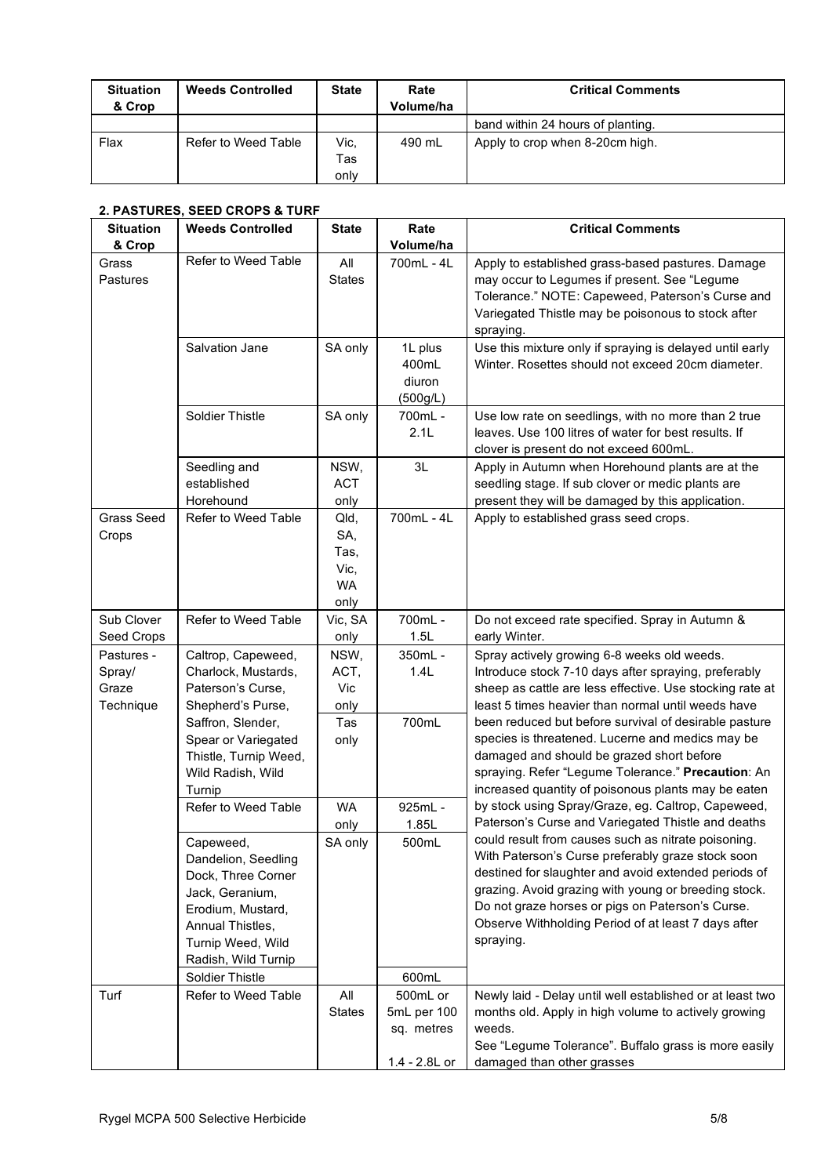| <b>Situation</b><br>& Crop | <b>Weeds Controlled</b> | <b>State</b> | Rate<br>Volume/ha | <b>Critical Comments</b>          |
|----------------------------|-------------------------|--------------|-------------------|-----------------------------------|
|                            |                         |              |                   | band within 24 hours of planting. |
| Flax                       | Refer to Weed Table     | Vic.         | 490 mL            | Apply to crop when 8-20cm high.   |
|                            |                         | Tas          |                   |                                   |
|                            |                         | only         |                   |                                   |

# **2. PASTURES, SEED CROPS & TURF**

| <b>Situation</b>                           | <b>Weeds Controlled</b>                                                                                                                                                           | <b>State</b>                                     | Rate                                                   | <b>Critical Comments</b>                                                                                                                                                                                                                                                                                                                                                        |
|--------------------------------------------|-----------------------------------------------------------------------------------------------------------------------------------------------------------------------------------|--------------------------------------------------|--------------------------------------------------------|---------------------------------------------------------------------------------------------------------------------------------------------------------------------------------------------------------------------------------------------------------------------------------------------------------------------------------------------------------------------------------|
| & Crop                                     |                                                                                                                                                                                   |                                                  | Volume/ha                                              |                                                                                                                                                                                                                                                                                                                                                                                 |
| Grass<br>Pastures                          | Refer to Weed Table                                                                                                                                                               | All<br><b>States</b>                             | 700mL - 4L                                             | Apply to established grass-based pastures. Damage<br>may occur to Legumes if present. See "Legume<br>Tolerance." NOTE: Capeweed, Paterson's Curse and<br>Variegated Thistle may be poisonous to stock after<br>spraying.                                                                                                                                                        |
|                                            | Salvation Jane                                                                                                                                                                    | SA only                                          | 1L plus<br>400mL<br>diuron<br>(500g/L)                 | Use this mixture only if spraying is delayed until early<br>Winter. Rosettes should not exceed 20cm diameter.                                                                                                                                                                                                                                                                   |
|                                            | Soldier Thistle                                                                                                                                                                   | SA only                                          | 700mL -<br>2.1L                                        | Use low rate on seedlings, with no more than 2 true<br>leaves. Use 100 litres of water for best results. If<br>clover is present do not exceed 600mL.                                                                                                                                                                                                                           |
|                                            | Seedling and<br>established<br>Horehound                                                                                                                                          | NSW,<br><b>ACT</b><br>only                       | 3L                                                     | Apply in Autumn when Horehound plants are at the<br>seedling stage. If sub clover or medic plants are<br>present they will be damaged by this application.                                                                                                                                                                                                                      |
| <b>Grass Seed</b><br>Crops                 | Refer to Weed Table                                                                                                                                                               | Qld,<br>SA,<br>Tas,<br>Vic,<br><b>WA</b><br>only | 700mL - 4L                                             | Apply to established grass seed crops.                                                                                                                                                                                                                                                                                                                                          |
| Sub Clover<br>Seed Crops                   | Refer to Weed Table                                                                                                                                                               | Vic, SA<br>only                                  | 700mL -<br>1.5L                                        | Do not exceed rate specified. Spray in Autumn &<br>early Winter.                                                                                                                                                                                                                                                                                                                |
| Pastures -<br>Spray/<br>Graze<br>Technique | Caltrop, Capeweed,<br>Charlock, Mustards,<br>Paterson's Curse,<br>Shepherd's Purse,<br>Saffron, Slender,<br>Spear or Variegated<br>Thistle, Turnip Weed,                          | NSW,<br>ACT,<br>Vic<br>only<br>Tas<br>only       | 350mL -<br>1.4L<br>700mL                               | Spray actively growing 6-8 weeks old weeds.<br>Introduce stock 7-10 days after spraying, preferably<br>sheep as cattle are less effective. Use stocking rate at<br>least 5 times heavier than normal until weeds have<br>been reduced but before survival of desirable pasture<br>species is threatened. Lucerne and medics may be<br>damaged and should be grazed short before |
|                                            | Wild Radish, Wild<br>Turnip                                                                                                                                                       |                                                  |                                                        | spraying. Refer "Legume Tolerance." Precaution: An<br>increased quantity of poisonous plants may be eaten                                                                                                                                                                                                                                                                       |
|                                            | Refer to Weed Table                                                                                                                                                               | <b>WA</b><br>only                                | 925mL -<br>1.85L                                       | by stock using Spray/Graze, eg. Caltrop, Capeweed,<br>Paterson's Curse and Variegated Thistle and deaths                                                                                                                                                                                                                                                                        |
|                                            | Capeweed,<br>Dandelion, Seedling<br>Dock, Three Corner<br>Jack, Geranium,<br>Erodium, Mustard,<br>Annual Thistles,<br>Turnip Weed, Wild<br>Radish, Wild Turnip<br>Soldier Thistle | SA only                                          | 500mL<br>600mL                                         | could result from causes such as nitrate poisoning.<br>With Paterson's Curse preferably graze stock soon<br>destined for slaughter and avoid extended periods of<br>grazing. Avoid grazing with young or breeding stock.<br>Do not graze horses or pigs on Paterson's Curse.<br>Observe Withholding Period of at least 7 days after<br>spraying.                                |
| Turf                                       | Refer to Weed Table                                                                                                                                                               | All<br><b>States</b>                             | 500mL or<br>5mL per 100<br>sq. metres<br>1.4 - 2.8L or | Newly laid - Delay until well established or at least two<br>months old. Apply in high volume to actively growing<br>weeds.<br>See "Legume Tolerance". Buffalo grass is more easily<br>damaged than other grasses                                                                                                                                                               |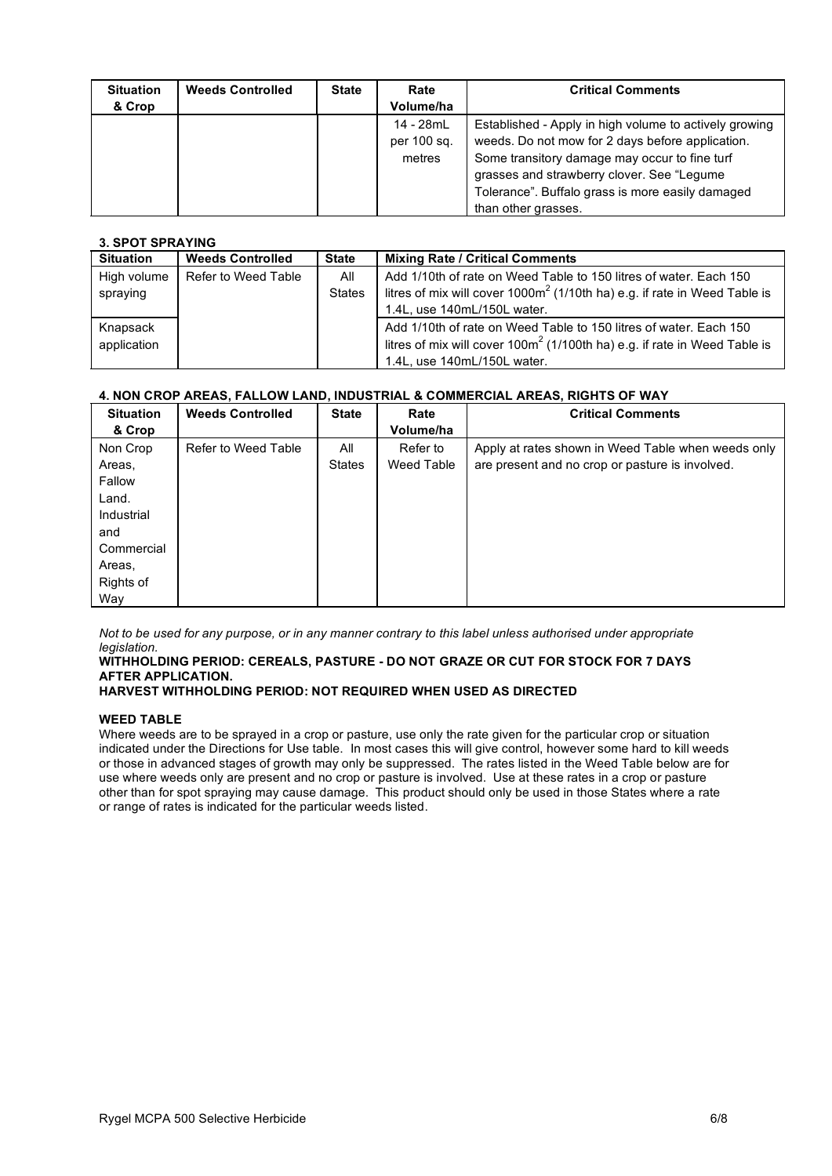| <b>Situation</b> | <b>Weeds Controlled</b> | <b>State</b> | Rate        | <b>Critical Comments</b>                               |
|------------------|-------------------------|--------------|-------------|--------------------------------------------------------|
| & Crop           |                         |              | Volume/ha   |                                                        |
|                  |                         |              | 14 - 28mL   | Established - Apply in high volume to actively growing |
|                  |                         |              | per 100 sq. | weeds. Do not mow for 2 days before application.       |
|                  |                         |              | metres      | Some transitory damage may occur to fine turf          |
|                  |                         |              |             | grasses and strawberry clover. See "Legume"            |
|                  |                         |              |             | Tolerance". Buffalo grass is more easily damaged       |
|                  |                         |              |             | than other grasses.                                    |

#### **3. SPOT SPRAYING**

| <b>Situation</b> | <b>Weeds Controlled</b> | <b>State</b>  | <b>Mixing Rate / Critical Comments</b>                                       |
|------------------|-------------------------|---------------|------------------------------------------------------------------------------|
| High volume      | Refer to Weed Table     | All           | Add 1/10th of rate on Weed Table to 150 litres of water. Each 150            |
| spraying         |                         | <b>States</b> | litres of mix will cover $1000m^2$ (1/10th ha) e.g. if rate in Weed Table is |
|                  |                         |               | 1.4L, use 140mL/150L water.                                                  |
| Knapsack         |                         |               | Add 1/10th of rate on Weed Table to 150 litres of water. Each 150            |
| application      |                         |               | litres of mix will cover $100m^2$ (1/100th ha) e.g. if rate in Weed Table is |
|                  |                         |               | 1.4L, use 140mL/150L water.                                                  |

# **4. NON CROP AREAS, FALLOW LAND, INDUSTRIAL & COMMERCIAL AREAS, RIGHTS OF WAY**

| <b>Situation</b> | <b>Weeds Controlled</b> | <b>State</b>  | Rate       | <b>Critical Comments</b>                           |
|------------------|-------------------------|---------------|------------|----------------------------------------------------|
| & Crop           |                         |               | Volume/ha  |                                                    |
| Non Crop         | Refer to Weed Table     | All           | Refer to   | Apply at rates shown in Weed Table when weeds only |
| Areas,           |                         | <b>States</b> | Weed Table | are present and no crop or pasture is involved.    |
| Fallow           |                         |               |            |                                                    |
| Land.            |                         |               |            |                                                    |
| Industrial       |                         |               |            |                                                    |
| and              |                         |               |            |                                                    |
| Commercial       |                         |               |            |                                                    |
| Areas,           |                         |               |            |                                                    |
| Rights of        |                         |               |            |                                                    |
| Way              |                         |               |            |                                                    |

Not to be used for any purpose, or in any manner contrary to this label unless authorised under appropriate *legislation.*

#### **WITHHOLDING PERIOD: CEREALS, PASTURE - DO NOT GRAZE OR CUT FOR STOCK FOR 7 DAYS AFTER APPLICATION.**

## **HARVEST WITHHOLDING PERIOD: NOT REQUIRED WHEN USED AS DIRECTED**

#### **WEED TABLE**

Where weeds are to be sprayed in a crop or pasture, use only the rate given for the particular crop or situation indicated under the Directions for Use table. In most cases this will give control, however some hard to kill weeds or those in advanced stages of growth may only be suppressed. The rates listed in the Weed Table below are for use where weeds only are present and no crop or pasture is involved. Use at these rates in a crop or pasture other than for spot spraying may cause damage. This product should only be used in those States where a rate or range of rates is indicated for the particular weeds listed.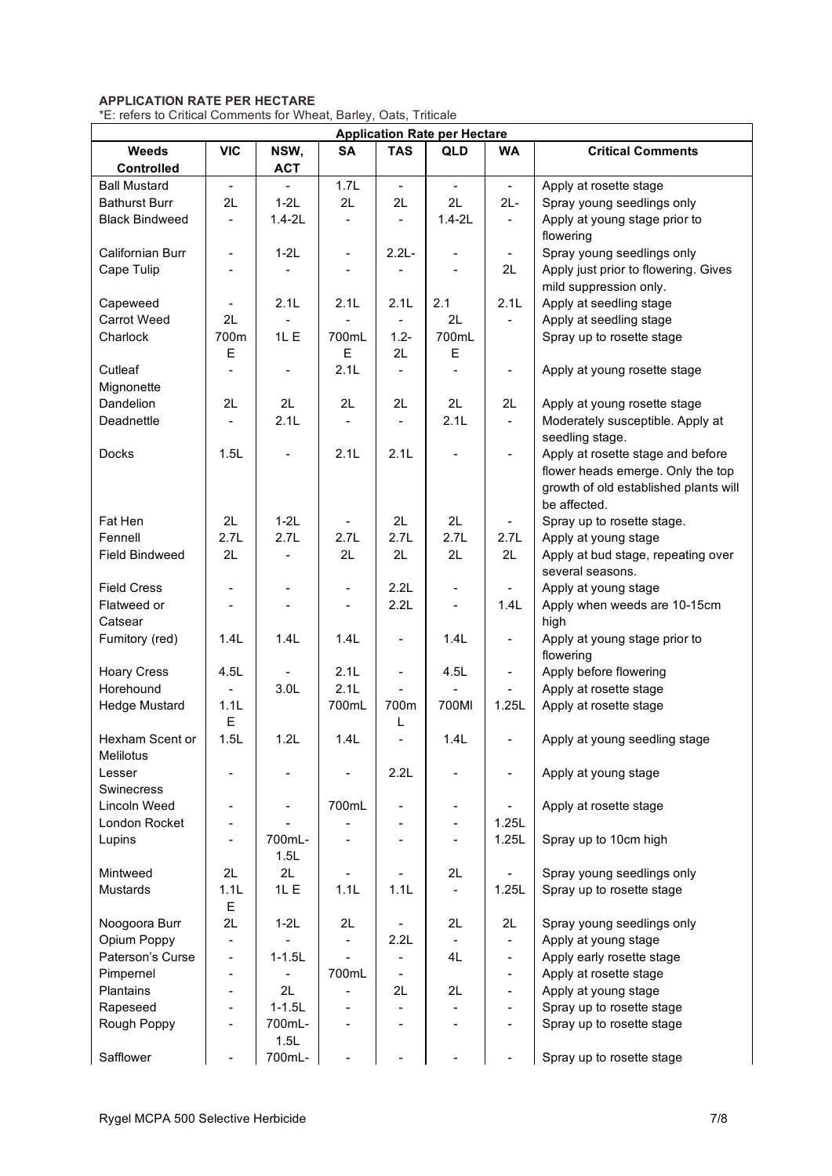# **APPLICATION RATE PER HECTARE**

\*E: refers to Critical Comments for Wheat, Barley, Oats, Triticale

| <b>Application Rate per Hectare</b> |                          |                          |                |                          |                              |                          |                                                                |  |
|-------------------------------------|--------------------------|--------------------------|----------------|--------------------------|------------------------------|--------------------------|----------------------------------------------------------------|--|
| Weeds<br><b>Controlled</b>          | <b>VIC</b>               | NSW,<br><b>ACT</b>       | <b>SA</b>      | <b>TAS</b>               | QLD                          | <b>WA</b>                | <b>Critical Comments</b>                                       |  |
| <b>Ball Mustard</b>                 | $\blacksquare$           |                          | 1.7L           | $\frac{1}{2}$            | $\frac{1}{2}$                | $\blacksquare$           | Apply at rosette stage                                         |  |
| <b>Bathurst Burr</b>                | 2L                       | $1-2L$                   | 2L             | 2L                       | 2L                           | $2L -$                   | Spray young seedlings only                                     |  |
| <b>Black Bindweed</b>               | $\blacksquare$           | $1.4 - 2L$               | $\overline{a}$ |                          | $1.4 - 2L$                   | $\blacksquare$           | Apply at young stage prior to<br>flowering                     |  |
| Californian Burr                    | $\blacksquare$           | $1-2L$                   | $\blacksquare$ | $2.2L -$                 | $\overline{\phantom{0}}$     | $\blacksquare$           | Spray young seedlings only                                     |  |
| Cape Tulip                          |                          |                          |                |                          |                              | 2L                       | Apply just prior to flowering. Gives<br>mild suppression only. |  |
| Capeweed                            | $\blacksquare$           | 2.1L                     | 2.1L           | 2.1L                     | 2.1                          | 2.1L                     | Apply at seedling stage                                        |  |
| <b>Carrot Weed</b>                  | 2L                       |                          |                |                          | 2L                           | $\blacksquare$           | Apply at seedling stage                                        |  |
| Charlock                            | 700m                     | 1L E                     | 700mL          | $1.2 -$                  | 700mL                        |                          | Spray up to rosette stage                                      |  |
|                                     | Ε                        |                          | Е              | 2L                       | Е                            |                          |                                                                |  |
| Cutleaf<br>Mignonette               |                          | $\blacksquare$           | 2.1L           |                          | $\frac{1}{2}$                | $\blacksquare$           | Apply at young rosette stage                                   |  |
| Dandelion                           | 2L                       | 2L                       | 2L             | 2L                       | 2L                           | 2L                       | Apply at young rosette stage                                   |  |
| Deadnettle                          | $\blacksquare$           | 2.1L                     |                |                          | 2.1L                         | $\blacksquare$           | Moderately susceptible. Apply at                               |  |
|                                     |                          |                          |                |                          |                              |                          | seedling stage.                                                |  |
| <b>Docks</b>                        | 1.5L                     |                          | 2.1L           | 2.1L                     |                              | $\blacksquare$           | Apply at rosette stage and before                              |  |
|                                     |                          |                          |                |                          |                              |                          | flower heads emerge. Only the top                              |  |
|                                     |                          |                          |                |                          |                              |                          | growth of old established plants will<br>be affected.          |  |
| Fat Hen                             | 2L                       | $1-2L$                   |                | 2L                       | 2L                           |                          | Spray up to rosette stage.                                     |  |
| Fennell                             | 2.7L                     | 2.7L                     | 2.7L           | 2.7L                     | 2.7L                         | 2.7L                     | Apply at young stage                                           |  |
| <b>Field Bindweed</b>               | 2L                       | $\blacksquare$           | 2L             | 2L                       | 2L                           | 2L                       | Apply at bud stage, repeating over                             |  |
|                                     |                          |                          |                |                          |                              |                          | several seasons.                                               |  |
| <b>Field Cress</b>                  | $\overline{\phantom{a}}$ | -                        |                | 2.2L                     | $\qquad \qquad \blacksquare$ |                          | Apply at young stage                                           |  |
| Flatweed or<br>Catsear              |                          |                          |                | 2.2L                     | ÷,                           | 1.4L                     | Apply when weeds are 10-15cm<br>high                           |  |
| Fumitory (red)                      | 1.4L                     | 1.4L                     | 1.4L           | $\overline{a}$           | 1.4L                         | $\blacksquare$           | Apply at young stage prior to                                  |  |
|                                     |                          |                          |                |                          |                              |                          | flowering                                                      |  |
| <b>Hoary Cress</b>                  | 4.5L                     |                          | 2.1L           | $\overline{a}$           | 4.5L                         | $\blacksquare$           | Apply before flowering                                         |  |
| Horehound                           |                          | 3.0 <sub>L</sub>         | 2.1L           |                          |                              |                          | Apply at rosette stage                                         |  |
| <b>Hedge Mustard</b>                | 1.1L                     |                          | 700mL          | 700m                     | 700MI                        | 1.25L                    | Apply at rosette stage                                         |  |
|                                     | E                        |                          |                | L                        |                              |                          |                                                                |  |
| Hexham Scent or<br>Melilotus        | 1.5L                     | 1.2L                     | 1.4L           | $\overline{a}$           | 1.4L                         | $\blacksquare$           | Apply at young seedling stage                                  |  |
| Lesser<br>Swinecress                |                          |                          |                | 2.2L                     |                              |                          | Apply at young stage                                           |  |
| Lincoln Weed                        | $\overline{\phantom{a}}$ | $\overline{\phantom{m}}$ | 700mL          | $\blacksquare$           | $\overline{\phantom{a}}$     |                          | Apply at rosette stage                                         |  |
| London Rocket                       |                          |                          |                |                          | $\blacksquare$               | 1.25L                    |                                                                |  |
| Lupins                              |                          | 700mL-<br>1.5L           |                |                          | $\blacksquare$               | 1.25L                    | Spray up to 10cm high                                          |  |
| Mintweed                            | 2L                       | 2L                       |                |                          | 2L                           |                          | Spray young seedlings only                                     |  |
| <b>Mustards</b>                     | 1.1L                     | 1L E                     | 1.1L           | 1.1L                     | $\blacksquare$               | 1.25L                    | Spray up to rosette stage                                      |  |
|                                     | Ε                        |                          |                |                          |                              |                          |                                                                |  |
| Noogoora Burr                       | 2L                       | $1-2L$                   | 2L             |                          | 2L                           | 2L                       | Spray young seedlings only                                     |  |
| Opium Poppy                         | $\blacksquare$           |                          |                | 2.2L                     |                              | $\blacksquare$           | Apply at young stage                                           |  |
| Paterson's Curse                    | $\blacksquare$           | $1 - 1.5L$               |                |                          | 4L                           | $\overline{\phantom{a}}$ | Apply early rosette stage                                      |  |
| Pimpernel                           | $\overline{\phantom{a}}$ |                          | 700mL          | $\overline{\phantom{0}}$ |                              | $\overline{\phantom{a}}$ | Apply at rosette stage                                         |  |
| Plantains                           | $\overline{\phantom{a}}$ | 2L                       |                | 2L                       | 2L                           | $\blacksquare$           | Apply at young stage                                           |  |
| Rapeseed                            | $\overline{a}$           | $1 - 1.5L$               |                |                          |                              | $\blacksquare$           | Spray up to rosette stage                                      |  |
| Rough Poppy                         | $\overline{a}$           | 700mL-                   |                |                          | $\overline{\phantom{a}}$     | $\blacksquare$           | Spray up to rosette stage                                      |  |
|                                     |                          | 1.5L                     |                |                          |                              |                          |                                                                |  |
| Safflower                           |                          | 700mL-                   |                |                          |                              |                          | Spray up to rosette stage                                      |  |